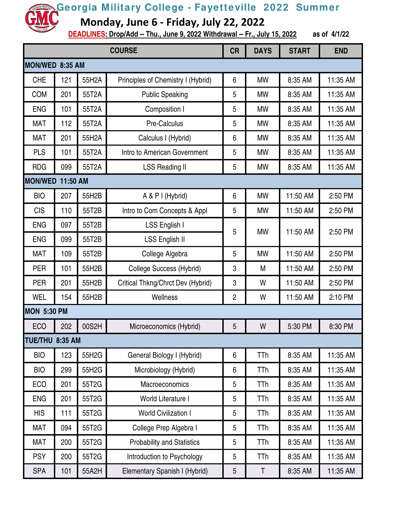**Monday, June 6 - Friday, July 22, 2022**

| <b>COURSE</b>      |                 |       |                                    | <b>CR</b>      | <b>DAYS</b> | <b>START</b> | <b>END</b> |  |
|--------------------|-----------------|-------|------------------------------------|----------------|-------------|--------------|------------|--|
| MON/WED 8:35 AM    |                 |       |                                    |                |             |              |            |  |
| <b>CHE</b>         | 121             | 55H2A | Principles of Chemistry I (Hybrid) | 6              | <b>MW</b>   | 8:35 AM      | 11:35 AM   |  |
| <b>COM</b>         | 201             | 55T2A | <b>Public Speaking</b>             | 5              | <b>MW</b>   | 8:35 AM      | 11:35 AM   |  |
| <b>ENG</b>         | 101             | 55T2A | Composition I                      | 5              | <b>MW</b>   | 8:35 AM      | 11:35 AM   |  |
| <b>MAT</b>         | 112             | 55T2A | Pre-Calculus                       | 5              | <b>MW</b>   | 8:35 AM      | 11:35 AM   |  |
| <b>MAT</b>         | 201             | 55H2A | Calculus I (Hybrid)                | 6              | <b>MW</b>   | 8:35 AM      | 11:35 AM   |  |
| <b>PLS</b>         | 101             | 55T2A | Intro to American Government       | 5              | <b>MW</b>   | 8:35 AM      | 11:35 AM   |  |
| <b>RDG</b>         | 099             | 55T2A | <b>LSS Reading II</b>              | 5              | <b>MW</b>   | 8:35 AM      | 11:35 AM   |  |
| MON/WED 11:50 AM   |                 |       |                                    |                |             |              |            |  |
| <b>BIO</b>         | 207             | 55H2B | A & P I (Hybrid)                   | 6              | <b>MW</b>   | 11:50 AM     | 2:50 PM    |  |
| <b>CIS</b>         | 110             | 55T2B | Intro to Com Concepts & Appl       | 5              | <b>MW</b>   | 11:50 AM     | 2:50 PM    |  |
| <b>ENG</b>         | 097             | 55T2B | LSS English I                      | 5              | <b>MW</b>   | 11:50 AM     | 2:50 PM    |  |
| <b>ENG</b>         | 099             | 55T2B | <b>LSS English II</b>              |                |             |              |            |  |
| <b>MAT</b>         | 109             | 55T2B | College Algebra                    | 5              | <b>MW</b>   | 11:50 AM     | 2:50 PM    |  |
| <b>PER</b>         | 101             | 55H2B | <b>College Success (Hybrid)</b>    | 3              | M           | 11:50 AM     | 2:50 PM    |  |
| <b>PER</b>         | 201             | 55H2B | Critical Thkng/Chrct Dev (Hybrid)  | 3              | W           | 11:50 AM     | 2:50 PM    |  |
| <b>WEL</b>         | 154             | 55H2B | Wellness                           | $\overline{2}$ | W           | 11:50 AM     | 2:10 PM    |  |
| <b>MON 5:30 PM</b> |                 |       |                                    |                |             |              |            |  |
| <b>ECO</b>         | 202             | 00S2H | Microeconomics (Hybrid)            | 5              | W           | 5:30 PM      | 8:30 PM    |  |
|                    | TUE/THU 8:35 AM |       |                                    |                |             |              |            |  |
| <b>BIO</b>         | 123             | 55H2G | General Biology I (Hybrid)         | 6              | TTh         | 8:35 AM      | 11:35 AM   |  |
| <b>BIO</b>         | 299             | 55H2G | Microbiology (Hybrid)              | 6              | <b>TTh</b>  | 8:35 AM      | 11:35 AM   |  |
| ECO                | 201             | 55T2G | Macroeconomics                     | 5              | TTh         | 8:35 AM      | 11:35 AM   |  |
| <b>ENG</b>         | 201             | 55T2G | World Literature I                 | 5              | TTh         | 8:35 AM      | 11:35 AM   |  |
| <b>HIS</b>         | 111             | 55T2G | <b>World Civilization I</b>        | 5              | TTh         | 8:35 AM      | 11:35 AM   |  |
| <b>MAT</b>         | 094             | 55T2G | College Prep Algebra I             | 5              | <b>TTh</b>  | 8:35 AM      | 11:35 AM   |  |
| <b>MAT</b>         | 200             | 55T2G | <b>Probability and Statistics</b>  | 5              | TTh         | 8:35 AM      | 11:35 AM   |  |
| <b>PSY</b>         | 200             | 55T2G | Introduction to Psychology         | 5              | TTh         | 8:35 AM      | 11:35 AM   |  |
| <b>SPA</b>         | 101             | 55A2H | Elementary Spanish I (Hybrid)      | $\sqrt{5}$     | Τ           | 8:35 AM      | 11:35 AM   |  |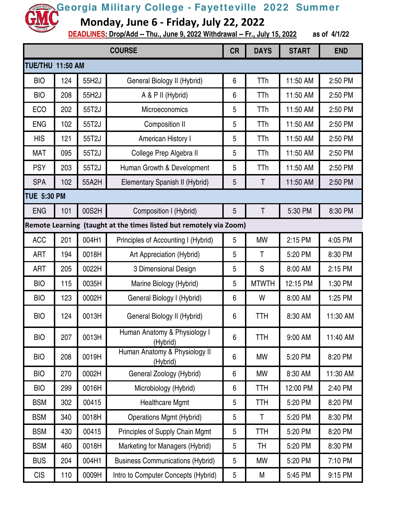**Monday, June 6 - Friday, July 22, 2022**

| <b>COURSE</b>           |     |       |                                                                    | <b>CR</b> | <b>DAYS</b>  | <b>START</b> | <b>END</b> |
|-------------------------|-----|-------|--------------------------------------------------------------------|-----------|--------------|--------------|------------|
| <b>TUE/THU 11:50 AM</b> |     |       |                                                                    |           |              |              |            |
| <b>BIO</b>              | 124 | 55H2J | General Biology II (Hybrid)                                        | 6         | <b>TTh</b>   | 11:50 AM     | 2:50 PM    |
| <b>BIO</b>              | 208 | 55H2J | A & P II (Hybrid)                                                  | 6         | <b>TTh</b>   | 11:50 AM     | 2:50 PM    |
| ECO                     | 202 | 55T2J | Microeconomics                                                     | 5         | TTh          | 11:50 AM     | 2:50 PM    |
| <b>ENG</b>              | 102 | 55T2J | Composition II                                                     | 5         | TTh          | 11:50 AM     | 2:50 PM    |
| <b>HIS</b>              | 121 | 55T2J | American History I                                                 | 5         | TTh          | 11:50 AM     | 2:50 PM    |
| <b>MAT</b>              | 095 | 55T2J | College Prep Algebra II                                            | 5         | TTh          | 11:50 AM     | 2:50 PM    |
| <b>PSY</b>              | 203 | 55T2J | Human Growth & Development                                         | 5         | TTh          | 11:50 AM     | 2:50 PM    |
| <b>SPA</b>              | 102 | 55A2H | Elementary Spanish II (Hybrid)                                     | 5         | Τ            | 11:50 AM     | 2:50 PM    |
| <b>TUE 5:30 PM</b>      |     |       |                                                                    |           |              |              |            |
| <b>ENG</b>              | 101 | 00S2H | Composition I (Hybrid)                                             | 5         | T            | 5:30 PM      | 8:30 PM    |
|                         |     |       | Remote Learning (taught at the times listed but remotely via Zoom) |           |              |              |            |
| <b>ACC</b>              | 201 | 004H1 | Principles of Accounting I (Hybrid)                                | 5         | <b>MW</b>    | 2:15 PM      | 4:05 PM    |
| ART                     | 194 | 0018H | Art Appreciation (Hybrid)                                          | 5         | T            | 5:20 PM      | 8:30 PM    |
| ART                     | 205 | 0022H | 3 Dimensional Design                                               | 5         | S            | 8:00 AM      | 2:15 PM    |
| <b>BIO</b>              | 115 | 0035H | Marine Biology (Hybrid)                                            | 5         | <b>MTWTH</b> | 12:15 PM     | 1:30 PM    |
| <b>BIO</b>              | 123 | 0002H | General Biology I (Hybrid)                                         | 6         | W            | 8:00 AM      | 1:25 PM    |
| <b>BIO</b>              | 124 | 0013H | General Biology II (Hybrid)                                        | 6         | <b>TTH</b>   | 8:30 AM      | 11:30 AM   |
| <b>BIO</b>              | 207 | 0013H | Human Anatomy & Physiology I<br>(Hybrid)                           | 6         | <b>TTH</b>   | 9:00 AM      | 11:40 AM   |
| <b>BIO</b>              | 208 | 0019H | Human Anatomy & Physiology II<br>(Hybrid)                          | 6         | MW           | 5:20 PM      | 8:20 PM    |
| <b>BIO</b>              | 270 | 0002H | General Zoology (Hybrid)                                           | 6         | MW           | 8:30 AM      | 11:30 AM   |
| <b>BIO</b>              | 299 | 0016H | Microbiology (Hybrid)                                              | 6         | <b>TTH</b>   | 12:00 PM     | 2:40 PM    |
| <b>BSM</b>              | 302 | 00415 | <b>Healthcare Mgmt</b>                                             | 5         | <b>TTH</b>   | 5:20 PM      | 8:20 PM    |
| <b>BSM</b>              | 340 | 0018H | <b>Operations Mgmt (Hybrid)</b>                                    | 5         | T            | 5:20 PM      | 8:30 PM    |
| <b>BSM</b>              | 430 | 00415 | Principles of Supply Chain Mgmt                                    | 5         | <b>TTH</b>   | 5:20 PM      | 8:20 PM    |
| <b>BSM</b>              | 460 | 0018H | Marketing for Managers (Hybrid)                                    | 5         | TH           | 5:20 PM      | 8:30 PM    |
| <b>BUS</b>              | 204 | 004H1 | <b>Business Communications (Hybrid)</b>                            | 5         | MW           | 5:20 PM      | 7:10 PM    |
| <b>CIS</b>              | 110 | 0009H | Intro to Computer Concepts (Hybrid)                                | 5         | М            | 5:45 PM      | 9:15 PM    |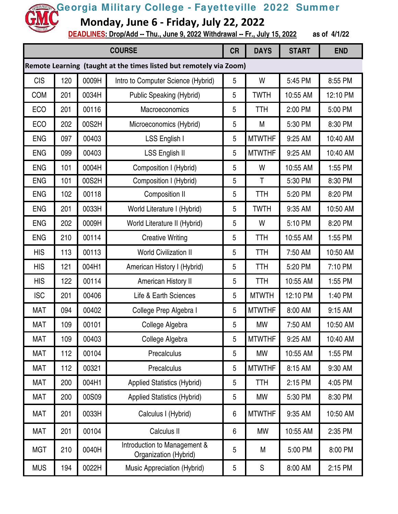**Monday, June 6 - Friday, July 22, 2022**

| <b>COURSE</b>                                                      |     |       |                                                       | <b>CR</b>      | <b>DAYS</b>   | <b>START</b> | <b>END</b> |
|--------------------------------------------------------------------|-----|-------|-------------------------------------------------------|----------------|---------------|--------------|------------|
| Remote Learning (taught at the times listed but remotely via Zoom) |     |       |                                                       |                |               |              |            |
| <b>CIS</b>                                                         | 120 | 0009H | Intro to Computer Science (Hybrid)                    | $\overline{5}$ | W             | 5:45 PM      | 8:55 PM    |
| <b>COM</b>                                                         | 201 | 0034H | <b>Public Speaking (Hybrid)</b>                       | 5              | <b>TWTH</b>   | 10:55 AM     | 12:10 PM   |
| <b>ECO</b>                                                         | 201 | 00116 | Macroeconomics                                        | 5              | TTH           | 2:00 PM      | 5:00 PM    |
| <b>ECO</b>                                                         | 202 | 00S2H | Microeconomics (Hybrid)                               | 5              | M             | 5:30 PM      | 8:30 PM    |
| <b>ENG</b>                                                         | 097 | 00403 | LSS English I                                         | 5              | <b>MTWTHF</b> | 9:25 AM      | 10:40 AM   |
| <b>ENG</b>                                                         | 099 | 00403 | LSS English II                                        | 5              | <b>MTWTHF</b> | 9:25 AM      | 10:40 AM   |
| <b>ENG</b>                                                         | 101 | 0004H | Composition I (Hybrid)                                | 5              | W             | 10:55 AM     | 1:55 PM    |
| <b>ENG</b>                                                         | 101 | 00S2H | Composition I (Hybrid)                                | 5              | T             | 5:30 PM      | 8:30 PM    |
| <b>ENG</b>                                                         | 102 | 00118 | <b>Composition II</b>                                 | 5              | TTH           | 5:20 PM      | 8:20 PM    |
| <b>ENG</b>                                                         | 201 | 0033H | World Literature I (Hybrid)                           | 5              | <b>TWTH</b>   | 9:35 AM      | 10:50 AM   |
| <b>ENG</b>                                                         | 202 | 0009H | World Literature II (Hybrid)                          | 5              | W             | 5:10 PM      | 8:20 PM    |
| <b>ENG</b>                                                         | 210 | 00114 | <b>Creative Writing</b>                               | 5              | <b>TTH</b>    | 10:55 AM     | 1:55 PM    |
| <b>HIS</b>                                                         | 113 | 00113 | <b>World Civilization II</b>                          | 5              | <b>TTH</b>    | 7:50 AM      | 10:50 AM   |
| <b>HIS</b>                                                         | 121 | 004H1 | American History I (Hybrid)                           | 5              | <b>TTH</b>    | 5:20 PM      | 7:10 PM    |
| <b>HIS</b>                                                         | 122 | 00114 | American History II                                   | 5              | <b>TTH</b>    | 10:55 AM     | 1:55 PM    |
| <b>ISC</b>                                                         | 201 | 00406 | Life & Earth Sciences                                 | 5              | <b>MTWTH</b>  | 12:10 PM     | 1:40 PM    |
| <b>MAT</b>                                                         | 094 | 00402 | College Prep Algebra I                                | 5              | <b>MTWTHF</b> | 8:00 AM      | 9:15 AM    |
| <b>MAT</b>                                                         | 109 | 00101 | College Algebra                                       | 5              | <b>MW</b>     | 7:50 AM      | 10:50 AM   |
| <b>MAT</b>                                                         | 109 | 00403 | College Algebra                                       | 5              | <b>MTWTHF</b> | 9:25 AM      | 10:40 AM   |
| MAT                                                                | 112 | 00104 | Precalculus                                           | 5              | <b>MW</b>     | 10:55 AM     | 1:55 PM    |
| MAT                                                                | 112 | 00321 | Precalculus                                           | 5              | <b>MTWTHF</b> | 8:15 AM      | 9:30 AM    |
| MAT                                                                | 200 | 004H1 | <b>Applied Statistics (Hybrid)</b>                    | 5              | <b>TTH</b>    | 2:15 PM      | 4:05 PM    |
| <b>MAT</b>                                                         | 200 | 00S09 | <b>Applied Statistics (Hybrid)</b>                    | 5              | MW            | 5:30 PM      | 8:30 PM    |
| <b>MAT</b>                                                         | 201 | 0033H | Calculus I (Hybrid)                                   | 6              | <b>MTWTHF</b> | 9:35 AM      | 10:50 AM   |
| MAT                                                                | 201 | 00104 | Calculus II                                           | 6              | <b>MW</b>     | 10:55 AM     | 2:35 PM    |
| <b>MGT</b>                                                         | 210 | 0040H | Introduction to Management &<br>Organization (Hybrid) | 5              | M             | 5:00 PM      | 8:00 PM    |
| <b>MUS</b>                                                         | 194 | 0022H | Music Appreciation (Hybrid)                           | 5              | ${\sf S}$     | 8:00 AM      | 2:15 PM    |